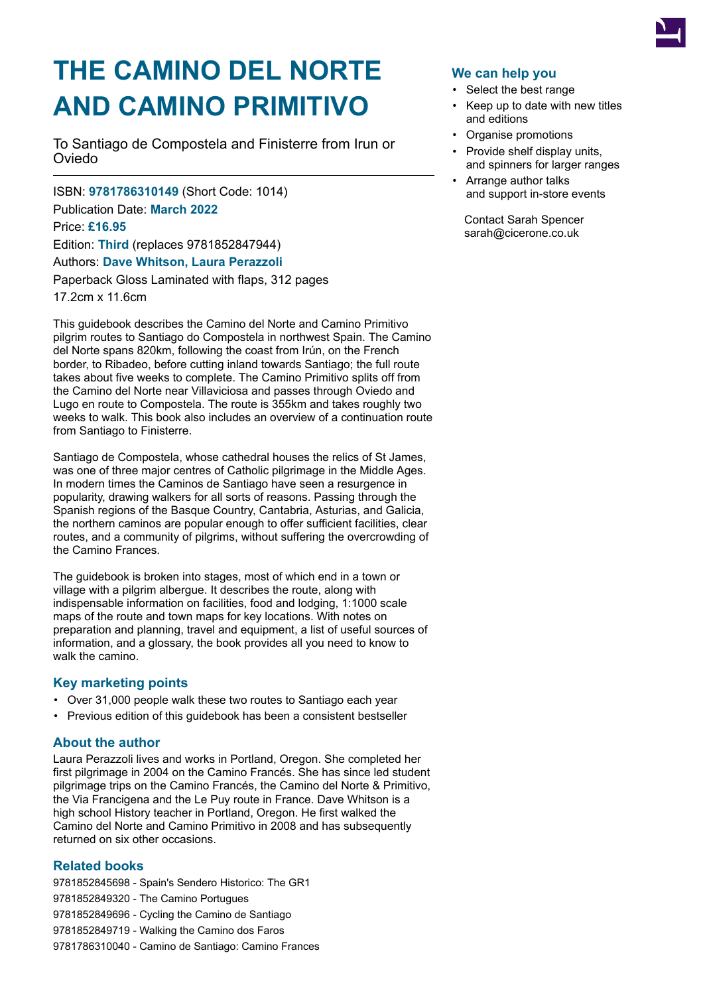

# **THE CAMINO DEL NORTE AND CAMINO PRIMITIVO**

To Santiago de Compostela and Finisterre from Irun or Oviedo

ISBN: **9781786310149** (Short Code: 1014) Publication Date: **March 2022** Price: **£16.95** Edition: **Third** (replaces 9781852847944) Authors: **Dave Whitson, Laura Perazzoli** Paperback Gloss Laminated with flaps, 312 pages 17.2cm x 11.6cm

This guidebook describes the Camino del Norte and Camino Primitivo pilgrim routes to Santiago do Compostela in northwest Spain. The Camino del Norte spans 820km, following the coast from Irún, on the French border, to Ribadeo, before cutting inland towards Santiago; the full route takes about five weeks to complete. The Camino Primitivo splits off from the Camino del Norte near Villaviciosa and passes through Oviedo and Lugo en route to Compostela. The route is 355km and takes roughly two weeks to walk. This book also includes an overview of a continuation route from Santiago to Finisterre.

Santiago de Compostela, whose cathedral houses the relics of St James, was one of three major centres of Catholic pilgrimage in the Middle Ages. In modern times the Caminos de Santiago have seen a resurgence in popularity, drawing walkers for all sorts of reasons. Passing through the Spanish regions of the Basque Country, Cantabria, Asturias, and Galicia, the northern caminos are popular enough to offer sufficient facilities, clear routes, and a community of pilgrims, without suffering the overcrowding of the Camino Frances.

The guidebook is broken into stages, most of which end in a town or village with a pilgrim albergue. It describes the route, along with indispensable information on facilities, food and lodging, 1:1000 scale maps of the route and town maps for key locations. With notes on preparation and planning, travel and equipment, a list of useful sources of information, and a glossary, the book provides all you need to know to walk the camino.

## **Key marketing points**

- Over 31,000 people walk these two routes to Santiago each year
- Previous edition of this guidebook has been a consistent bestseller

## **About the author**

Laura Perazzoli lives and works in Portland, Oregon. She completed her first pilgrimage in 2004 on the Camino Francés. She has since led student pilgrimage trips on the Camino Francés, the Camino del Norte & Primitivo, the Via Francigena and the Le Puy route in France. Dave Whitson is a high school History teacher in Portland, Oregon. He first walked the Camino del Norte and Camino Primitivo in 2008 and has subsequently returned on six other occasions.

## **Related books**

 - Spain's Sendero Historico: The GR1 - The Camino Portugues - Cycling the Camino de Santiago - Walking the Camino dos Faros

#### 9781786310040 - Camino de Santiago: Camino Frances

## **We can help you**

- Select the best range
- Keep up to date with new titles and editions
- Organise promotions
- Provide shelf display units, and spinners for larger ranges
- Arrange author talks and support in-store events

Contact Sarah Spencer sarah@cicerone.co.uk